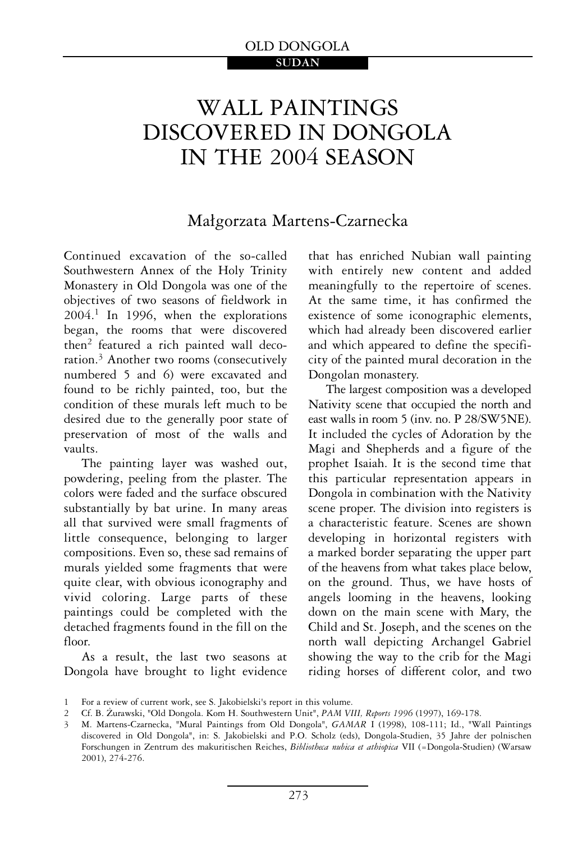# WALL PAINTINGS DISCOVERED IN DONGOLA IN THE 2004 SEASON

# Małgorzata Martens-Czarnecka

Continued excavation of the so-called Southwestern Annex of the Holy Trinity Monastery in Old Dongola was one of the objectives of two seasons of fieldwork in 2004.1 In 1996, when the explorations began, the rooms that were discovered then2 featured a rich painted wall decoration.3 Another two rooms (consecutively numbered 5 and 6) were excavated and found to be richly painted, too, but the condition of these murals left much to be desired due to the generally poor state of preservation of most of the walls and vaults.

The painting layer was washed out, powdering, peeling from the plaster. The colors were faded and the surface obscured substantially by bat urine. In many areas all that survived were small fragments of little consequence, belonging to larger compositions. Even so, these sad remains of murals yielded some fragments that were quite clear, with obvious iconography and vivid coloring. Large parts of these paintings could be completed with the detached fragments found in the fill on the floor.

As a result, the last two seasons at Dongola have brought to light evidence that has enriched Nubian wall painting with entirely new content and added meaningfully to the repertoire of scenes. At the same time, it has confirmed the existence of some iconographic elements, which had already been discovered earlier and which appeared to define the specificity of the painted mural decoration in the Dongolan monastery.

The largest composition was a developed Nativity scene that occupied the north and east walls in room 5 (inv. no. P 28/SW5NE). It included the cycles of Adoration by the Magi and Shepherds and a figure of the prophet Isaiah. It is the second time that this particular representation appears in Dongola in combination with the Nativity scene proper. The division into registers is a characteristic feature. Scenes are shown developing in horizontal registers with a marked border separating the upper part of the heavens from what takes place below, on the ground. Thus, we have hosts of angels looming in the heavens, looking down on the main scene with Mary, the Child and St. Joseph, and the scenes on the north wall depicting Archangel Gabriel showing the way to the crib for the Magi riding horses of different color, and two

<sup>1</sup> For a review of current work, see S. Jakobielski's report in this volume.

<sup>2</sup> Cf. B. Żurawski, "Old Dongola. Kom H. Southwestern Unit", PAM VIII, Reports 1996 (1997), 169-178.

<sup>3</sup> M. Martens-Czarnecka, "Mural Paintings from Old Dongola", GAMAR I (1998), 108-111; Id., "Wall Paintings discovered in Old Dongola", in: S. Jakobielski and P.O. Scholz (eds), Dongola-Studien, 35 Jahre der polnischen Forschungen in Zentrum des makuritischen Reiches, Bibliotheca nubica et athiopica VII (=Dongola-Studien) (Warsaw 2001), 274-276.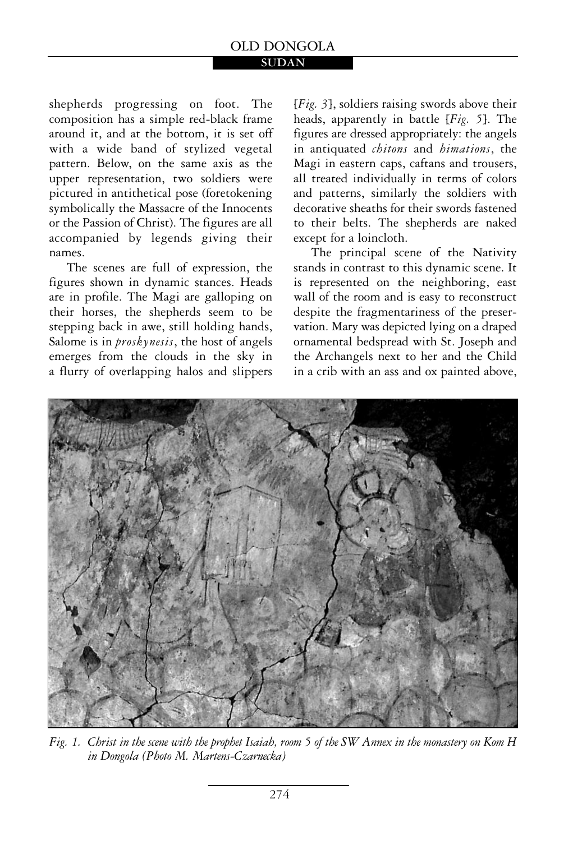#### **SUDAN**

shepherds progressing on foot. The composition has a simple red-black frame around it, and at the bottom, it is set off with a wide band of stylized vegetal pattern. Below, on the same axis as the upper representation, two soldiers were pictured in antithetical pose (foretokening symbolically the Massacre of the Innocents or the Passion of Christ). The figures are all accompanied by legends giving their names.

The scenes are full of expression, the figures shown in dynamic stances. Heads are in profile. The Magi are galloping on their horses, the shepherds seem to be stepping back in awe, still holding hands, Salome is in *proskynesis*, the host of angels emerges from the clouds in the sky in a flurry of overlapping halos and slippers [*Fig. 3*], soldiers raising swords above their heads, apparently in battle [*Fig. 5*]. The figures are dressed appropriately: the angels in antiquated *chitons* and *himations*, the Magi in eastern caps, caftans and trousers, all treated individually in terms of colors and patterns, similarly the soldiers with decorative sheaths for their swords fastened to their belts. The shepherds are naked except for a loincloth.

The principal scene of the Nativity stands in contrast to this dynamic scene. It is represented on the neighboring, east wall of the room and is easy to reconstruct despite the fragmentariness of the preservation. Mary was depicted lying on a draped ornamental bedspread with St. Joseph and the Archangels next to her and the Child in a crib with an ass and ox painted above,



*Fig. 1. Christ in the scene with the prophet Isaiah, room 5 of the SW Annex in the monastery on Kom H in Dongola (Photo M. Martens-Czarnecka)*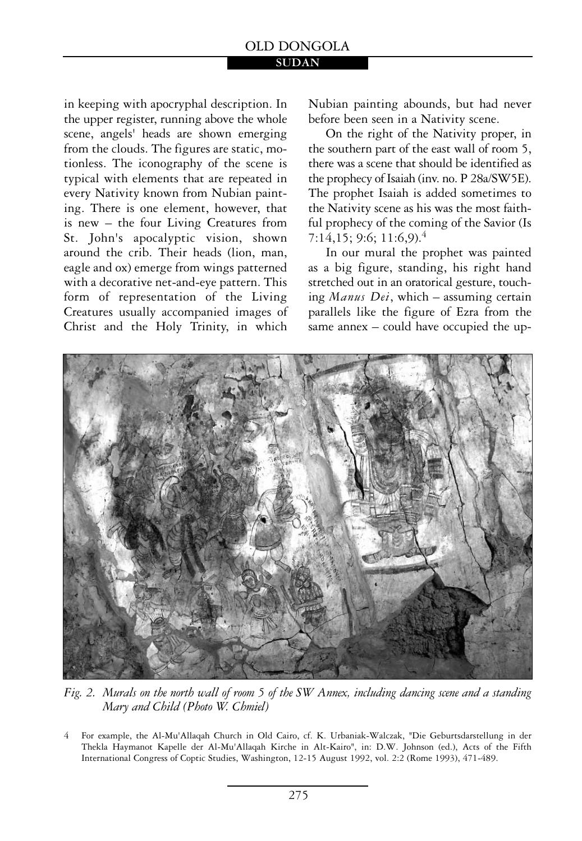in keeping with apocryphal description. In the upper register, running above the whole scene, angels' heads are shown emerging from the clouds. The figures are static, motionless. The iconography of the scene is typical with elements that are repeated in every Nativity known from Nubian painting. There is one element, however, that is new – the four Living Creatures from St. John's apocalyptic vision, shown around the crib. Their heads (lion, man, eagle and ox) emerge from wings patterned with a decorative net-and-eye pattern. This form of representation of the Living Creatures usually accompanied images of Christ and the Holy Trinity, in which Nubian painting abounds, but had never before been seen in a Nativity scene.

On the right of the Nativity proper, in the southern part of the east wall of room 5, there was a scene that should be identified as the prophecy of Isaiah (inv. no. P 28a/SW5E). The prophet Isaiah is added sometimes to the Nativity scene as his was the most faithful prophecy of the coming of the Savior (Is 7:14,15; 9:6; 11:6,9).4

In our mural the prophet was painted as a big figure, standing, his right hand stretched out in an oratorical gesture, touching *Manus Dei*, which – assuming certain parallels like the figure of Ezra from the same annex – could have occupied the up-



*Fig. 2. Murals on the north wall of room 5 of the SW Annex, including dancing scene and a standing Mary and Child (Photo W. Chmiel)* 

<sup>4</sup> For example, the Al-Mu'Allaqah Church in Old Cairo, cf. K. Urbaniak-Walczak, "Die Geburtsdarstellung in der Thekla Haymanot Kapelle der Al-Mu'Allaqah Kirche in Alt-Kairo", in: D.W. Johnson (ed.), Acts of the Fifth International Congress of Coptic Studies, Washington, 12-15 August 1992, vol. 2:2 (Rome 1993), 471-489.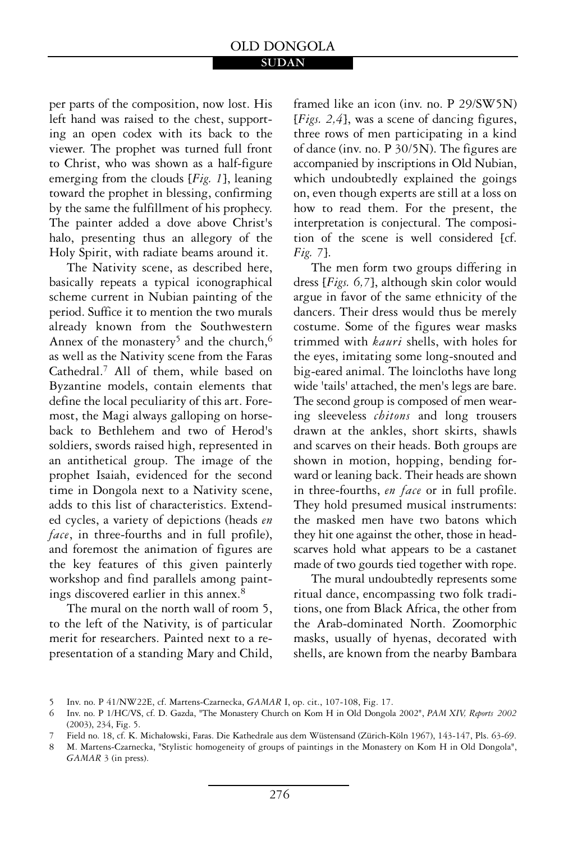per parts of the composition, now lost. His left hand was raised to the chest, supporting an open codex with its back to the viewer. The prophet was turned full front to Christ, who was shown as a half-figure emerging from the clouds [*Fig. 1*], leaning toward the prophet in blessing, confirming by the same the fulfillment of his prophecy. The painter added a dove above Christ's halo, presenting thus an allegory of the Holy Spirit, with radiate beams around it.

The Nativity scene, as described here, basically repeats a typical iconographical scheme current in Nubian painting of the period. Suffice it to mention the two murals already known from the Southwestern Annex of the monastery<sup>5</sup> and the church,<sup>6</sup> as well as the Nativity scene from the Faras Cathedral.7 All of them, while based on Byzantine models, contain elements that define the local peculiarity of this art. Foremost, the Magi always galloping on horseback to Bethlehem and two of Herod's soldiers, swords raised high, represented in an antithetical group. The image of the prophet Isaiah, evidenced for the second time in Dongola next to a Nativity scene, adds to this list of characteristics. Extended cycles, a variety of depictions (heads *en face*, in three-fourths and in full profile), and foremost the animation of figures are the key features of this given painterly workshop and find parallels among paintings discovered earlier in this annex.<sup>8</sup>

The mural on the north wall of room 5, to the left of the Nativity, is of particular merit for researchers. Painted next to a representation of a standing Mary and Child, framed like an icon (inv. no. P 29/SW5N) [*Figs. 2,4*], was a scene of dancing figures, three rows of men participating in a kind of dance (inv. no. P 30/5N). The figures are accompanied by inscriptions in Old Nubian, which undoubtedly explained the goings on, even though experts are still at a loss on how to read them. For the present, the interpretation is conjectural. The composition of the scene is well considered [cf. *Fig. 7*].

The men form two groups differing in dress [*Figs. 6,7*], although skin color would argue in favor of the same ethnicity of the dancers. Their dress would thus be merely costume. Some of the figures wear masks trimmed with *kauri* shells, with holes for the eyes, imitating some long-snouted and big-eared animal. The loincloths have long wide 'tails' attached, the men's legs are bare. The second group is composed of men wearing sleeveless *chitons* and long trousers drawn at the ankles, short skirts, shawls and scarves on their heads. Both groups are shown in motion, hopping, bending forward or leaning back. Their heads are shown in three-fourths, *en face* or in full profile. They hold presumed musical instruments: the masked men have two batons which they hit one against the other, those in headscarves hold what appears to be a castanet made of two gourds tied together with rope.

The mural undoubtedly represents some ritual dance, encompassing two folk traditions, one from Black Africa, the other from the Arab-dominated North. Zoomorphic masks, usually of hyenas, decorated with shells, are known from the nearby Bambara

<sup>5</sup> Inv. no. P 41/NW22E, cf. Martens-Czarnecka, *GAMAR* I, op. cit., 107-108, Fig. 17.

<sup>6</sup> Inv. no. P 1/HC/VS, cf. D. Gazda, "The Monastery Church on Kom H in Old Dongola 2002", *PAM XIV, Reports 2002* (2003), 234, Fig. 5.

<sup>7</sup> Field no. 18, cf. K. Michałowski, Faras. Die Kathedrale aus dem Wüstensand (Zürich-Köln 1967), 143-147, Pls. 63-69.

<sup>8</sup> M. Martens-Czarnecka, "Stylistic homogeneity of groups of paintings in the Monastery on Kom H in Old Dongola", *GAMAR* 3 (in press).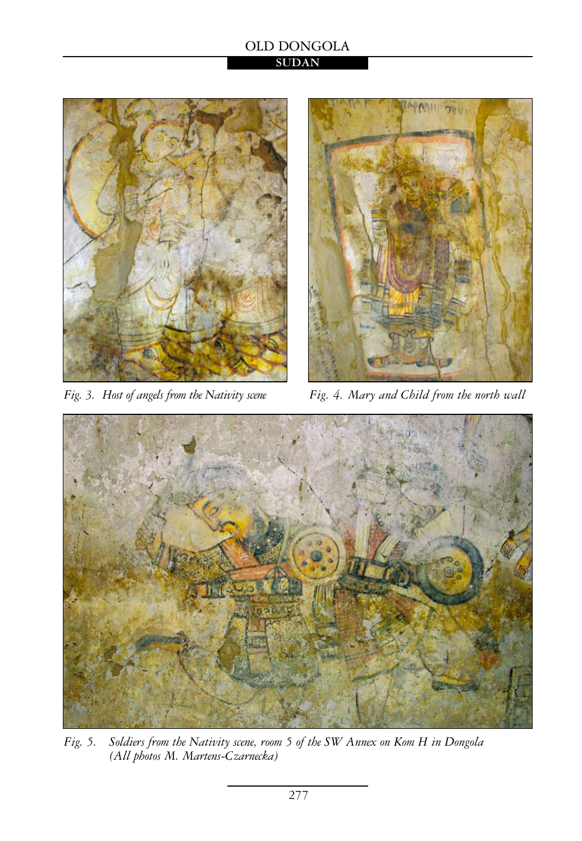



*Fig. 3. Host of angels from the Nativity scene Fig. 4. Mary and Child from the north wall* 



*Fig. 5. Soldiers from the Nativity scene, room 5 of the SW Annex on Kom H in Dongola (All photos M. Martens-Czarnecka)*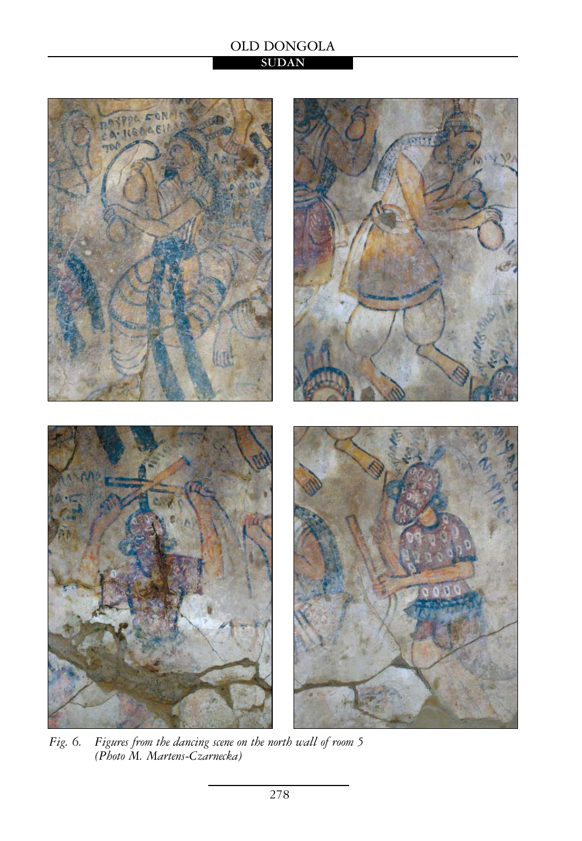# **SUDAN**



*Fig. 6. Figures from the dancing scene on the north wall of room 5 (Photo M. Martens-Czarnecka)*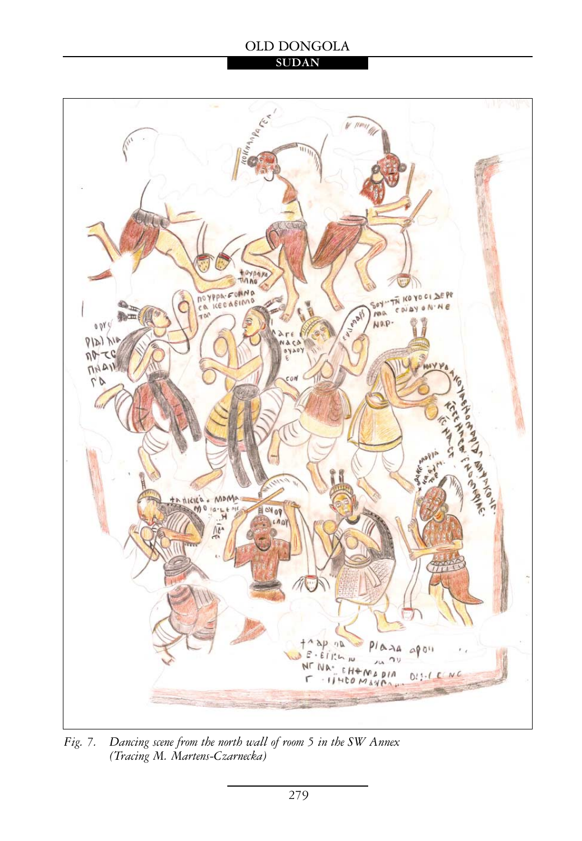## **SUDAN**



*Fig. 7. Dancing scene from the north wall of room 5 in the SW Annex (Tracing M. Martens-Czarnecka)*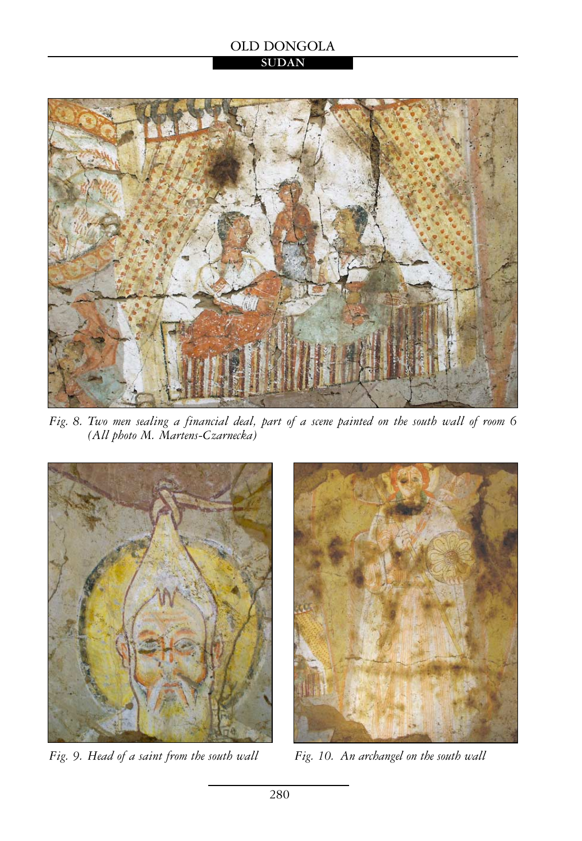## **SUDAN**



*Fig. 8. Two men sealing a financial deal, part of a scene painted on the south wall of room 6 (All photo M. Martens-Czarnecka)* 



*Fig. 9. Head of a saint from the south wall* 



*Fig. 10. An archangel on the south wall*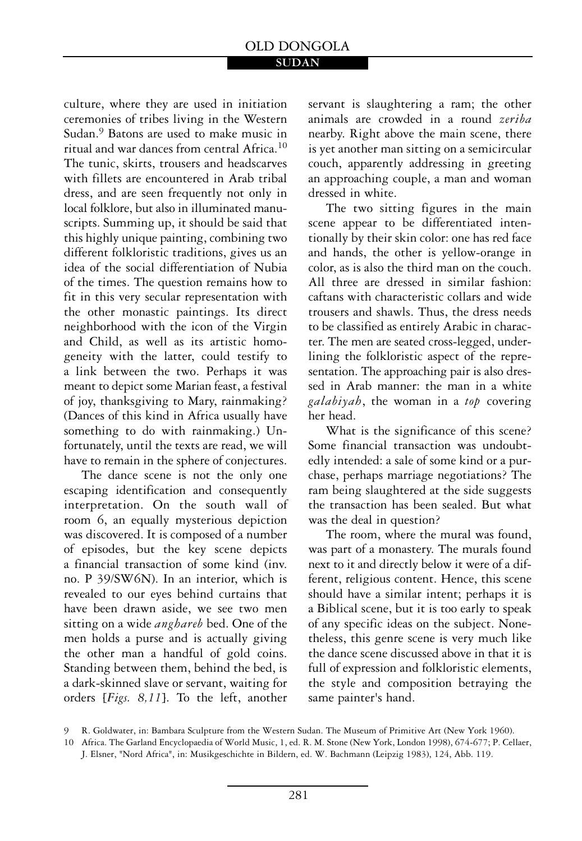culture, where they are used in initiation ceremonies of tribes living in the Western Sudan.9 Batons are used to make music in ritual and war dances from central Africa.<sup>10</sup> The tunic, skirts, trousers and headscarves with fillets are encountered in Arab tribal dress, and are seen frequently not only in local folklore, but also in illuminated manuscripts. Summing up, it should be said that this highly unique painting, combining two different folkloristic traditions, gives us an idea of the social differentiation of Nubia of the times. The question remains how to fit in this very secular representation with the other monastic paintings. Its direct neighborhood with the icon of the Virgin and Child, as well as its artistic homogeneity with the latter, could testify to a link between the two. Perhaps it was meant to depict some Marian feast, a festival of joy, thanksgiving to Mary, rainmaking? (Dances of this kind in Africa usually have something to do with rainmaking.) Unfortunately, until the texts are read, we will have to remain in the sphere of conjectures.

The dance scene is not the only one escaping identification and consequently interpretation. On the south wall of room 6, an equally mysterious depiction was discovered. It is composed of a number of episodes, but the key scene depicts a financial transaction of some kind (inv. no. P 39/SW6N). In an interior, which is revealed to our eyes behind curtains that have been drawn aside, we see two men sitting on a wide *anghareb* bed. One of the men holds a purse and is actually giving the other man a handful of gold coins. Standing between them, behind the bed, is a dark-skinned slave or servant, waiting for orders [*Figs. 8,11*]. To the left, another

servant is slaughtering a ram; the other animals are crowded in a round *zeriba* nearby. Right above the main scene, there is yet another man sitting on a semicircular couch, apparently addressing in greeting an approaching couple, a man and woman dressed in white.

The two sitting figures in the main scene appear to be differentiated intentionally by their skin color: one has red face and hands, the other is yellow-orange in color, as is also the third man on the couch. All three are dressed in similar fashion: caftans with characteristic collars and wide trousers and shawls. Thus, the dress needs to be classified as entirely Arabic in character. The men are seated cross-legged, underlining the folkloristic aspect of the representation. The approaching pair is also dressed in Arab manner: the man in a white *galabiyah*, the woman in a *top* covering her head.

What is the significance of this scene? Some financial transaction was undoubtedly intended: a sale of some kind or a purchase, perhaps marriage negotiations? The ram being slaughtered at the side suggests the transaction has been sealed. But what was the deal in question?

The room, where the mural was found, was part of a monastery. The murals found next to it and directly below it were of a different, religious content. Hence, this scene should have a similar intent; perhaps it is a Biblical scene, but it is too early to speak of any specific ideas on the subject. Nonetheless, this genre scene is very much like the dance scene discussed above in that it is full of expression and folkloristic elements, the style and composition betraying the same painter's hand.

9 R. Goldwater, in: Bambara Sculpture from the Western Sudan. The Museum of Primitive Art (New York 1960).

10 Africa. The Garland Encyclopaedia of World Music, 1, ed. R. M. Stone (New York, London 1998), 674-677; P. Cellaer, J. Elsner, "Nord Africa", in: Musikgeschichte in Bildern, ed. W. Bachmann (Leipzig 1983), 124, Abb. 119.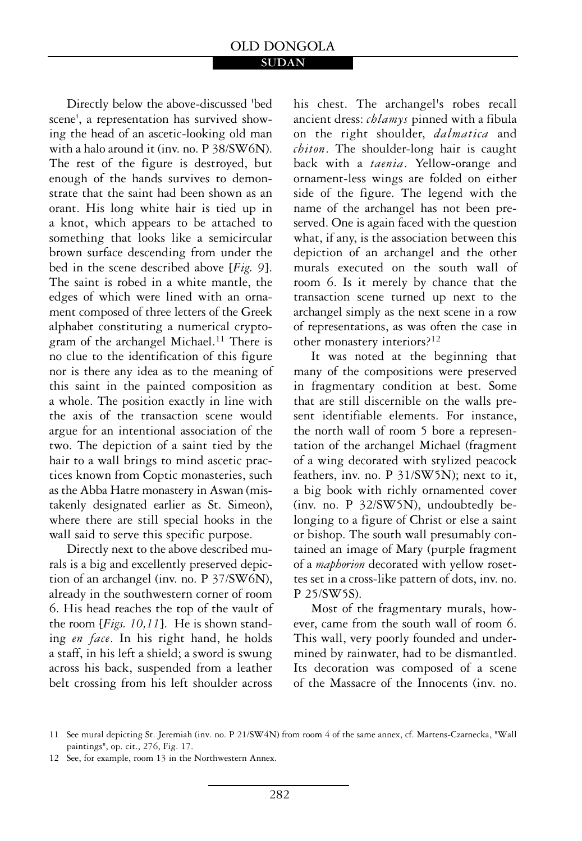#### **SUDAN**

Directly below the above-discussed 'bed scene', a representation has survived showing the head of an ascetic-looking old man with a halo around it (inv. no. P 38/SW6N). The rest of the figure is destroyed, but enough of the hands survives to demonstrate that the saint had been shown as an orant. His long white hair is tied up in a knot, which appears to be attached to something that looks like a semicircular brown surface descending from under the bed in the scene described above [*Fig. 9*]. The saint is robed in a white mantle, the edges of which were lined with an ornament composed of three letters of the Greek alphabet constituting a numerical cryptogram of the archangel Michael.<sup>11</sup> There is no clue to the identification of this figure nor is there any idea as to the meaning of this saint in the painted composition as a whole. The position exactly in line with the axis of the transaction scene would argue for an intentional association of the two. The depiction of a saint tied by the hair to a wall brings to mind ascetic practices known from Coptic monasteries, such as the Abba Hatre monastery in Aswan (mistakenly designated earlier as St. Simeon), where there are still special hooks in the wall said to serve this specific purpose.

Directly next to the above described murals is a big and excellently preserved depiction of an archangel (inv. no. P 37/SW6N), already in the southwestern corner of room 6. His head reaches the top of the vault of the room [*Figs. 10,11*]. He is shown standing *en face*. In his right hand, he holds a staff, in his left a shield; a sword is swung across his back, suspended from a leather belt crossing from his left shoulder across

his chest. The archangel's robes recall ancient dress: *chlamys* pinned with a fibula on the right shoulder, *dalmatica* and *chiton*. The shoulder-long hair is caught back with a *taenia*. Yellow-orange and ornament-less wings are folded on either side of the figure. The legend with the name of the archangel has not been preserved. One is again faced with the question what, if any, is the association between this depiction of an archangel and the other murals executed on the south wall of room 6. Is it merely by chance that the transaction scene turned up next to the archangel simply as the next scene in a row of representations, as was often the case in other monastery interiors?12

It was noted at the beginning that many of the compositions were preserved in fragmentary condition at best. Some that are still discernible on the walls present identifiable elements. For instance, the north wall of room 5 bore a representation of the archangel Michael (fragment of a wing decorated with stylized peacock feathers, inv. no. P 31/SW5N); next to it, a big book with richly ornamented cover (inv. no. P 32/SW5N), undoubtedly belonging to a figure of Christ or else a saint or bishop. The south wall presumably contained an image of Mary (purple fragment of a *maphorion* decorated with yellow rosettes set in a cross-like pattern of dots, inv. no. P 25/SW5S).

Most of the fragmentary murals, however, came from the south wall of room 6. This wall, very poorly founded and undermined by rainwater, had to be dismantled. Its decoration was composed of a scene of the Massacre of the Innocents (inv. no.

12 See, for example, room 13 in the Northwestern Annex.

<sup>11</sup> See mural depicting St. Jeremiah (inv. no. P 21/SW4N) from room 4 of the same annex, cf. Martens-Czarnecka, "Wall paintings", op. cit., 276, Fig. 17.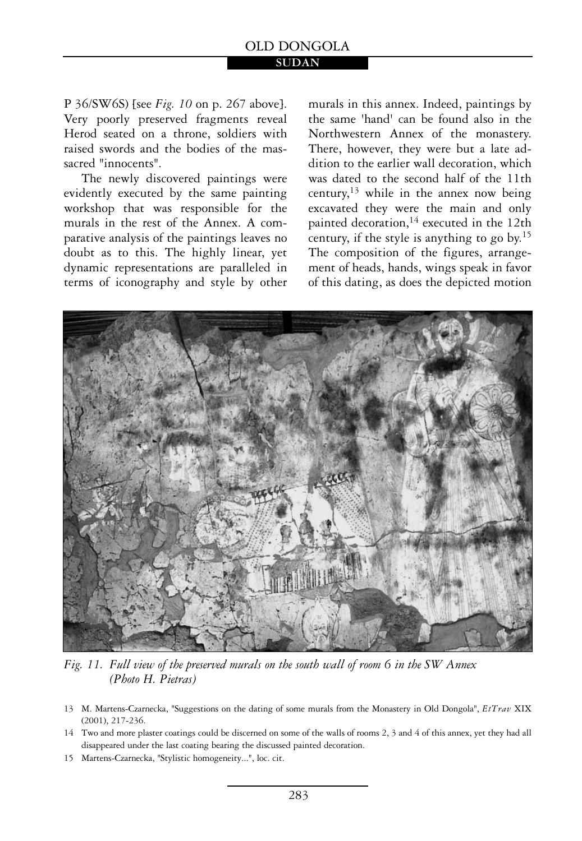## P 36/SW6S) [see *Fig. 10* on p. 267 above]. Very poorly preserved fragments reveal Herod seated on a throne, soldiers with raised swords and the bodies of the massacred "innocents".

The newly discovered paintings were evidently executed by the same painting workshop that was responsible for the murals in the rest of the Annex. A comparative analysis of the paintings leaves no doubt as to this. The highly linear, yet dynamic representations are paralleled in terms of iconography and style by other murals in this annex. Indeed, paintings by the same 'hand' can be found also in the Northwestern Annex of the monastery. There, however, they were but a late addition to the earlier wall decoration, which was dated to the second half of the 11th century,  $13$  while in the annex now being excavated they were the main and only painted decoration,<sup>14</sup> executed in the 12th century, if the style is anything to go by.15 The composition of the figures, arrangement of heads, hands, wings speak in favor of this dating, as does the depicted motion



*Fig. 11. Full view of the preserved murals on the south wall of room 6 in the SW Annex (Photo H. Pietras)* 

- 13 M. Martens-Czarnecka, "Suggestions on the dating of some murals from the Monastery in Old Dongola", EtTrav XIX (2001), 217-236.
- 14 Two and more plaster coatings could be discerned on some of the walls of rooms 2, 3 and 4 of this annex, yet they had all disappeared under the last coating bearing the discussed painted decoration.
- 15 Martens-Czarnecka, "Stylistic homogeneity...", loc. cit.